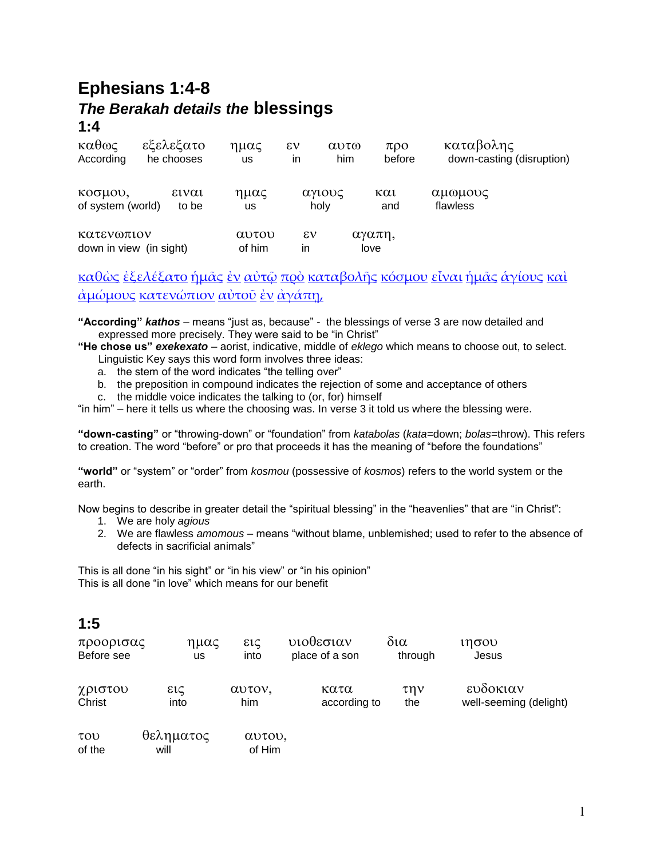# **Ephesians 1:4-8** *The Berakah details the* **blessings 1:4**

| $\kappa \alpha \theta \omega \zeta$   | εξελεξατο  | ημας            | $\epsilon v$ | $\alpha$ <sup>0</sup> | $\pi$ <sup>o</sup> | καταβολης                 |
|---------------------------------------|------------|-----------------|--------------|-----------------------|--------------------|---------------------------|
| According                             | he chooses | <b>us</b>       | ın           | him                   | before             | down-casting (disruption) |
| κοσμου,                               | ειναι      | ημας            |              | αγιους                | και                | αμωμους                   |
| of system (world)                     | to be      | us              |              | holy                  | and                | flawless                  |
| Κατενωπιον<br>down in view (in sight) |            | αυτου<br>of him | εv<br>in     |                       | αγαπη,<br>love     |                           |

[καθὼς](http://concordance.biblos.com/katho_s.htm) [ἐξελέξατο](http://concordance.biblos.com/exelexato.htm) [ἡμᾶς](http://concordance.biblos.com/e_mas.htm) [ἐν](http://concordance.biblos.com/en.htm) [αὐτῷ](http://concordance.biblos.com/auto_.htm) [πρὸ](http://concordance.biblos.com/pro.htm) [καταβολῆς](http://concordance.biblos.com/katabole_s.htm) [κόσμου](http://concordance.biblos.com/kosmou.htm) [εἶναι](http://concordance.biblos.com/einai.htm) [ἡμᾶς](http://concordance.biblos.com/e_mas.htm) [ἁγίους](http://concordance.biblos.com/agious.htm) [καὶ](http://concordance.biblos.com/kai.htm) [ἀμώμους](http://concordance.biblos.com/amo_mous.htm) [κατενώπιον](http://concordance.biblos.com/kateno_pion.htm) [αὐτοῦ](http://concordance.biblos.com/autou.htm) [ἐν](http://concordance.biblos.com/en.htm) [ἀγάπῃ](http://concordance.biblos.com/agape_.htm),

**"According"** *kathos* – means "just as, because" - the blessings of verse 3 are now detailed and expressed more precisely. They were said to be "in Christ"

- **"He chose us"** *exekexato* aorist, indicative, middle of *eklego* which means to choose out, to select. Linguistic Key says this word form involves three ideas:
	- a. the stem of the word indicates "the telling over"
	- b. the preposition in compound indicates the rejection of some and acceptance of others
	- c. the middle voice indicates the talking to (or, for) himself

"in him" – here it tells us where the choosing was. In verse 3 it told us where the blessing were.

**"down-casting"** or "throwing-down" or "foundation" from *katabolas* (*kata*=down; *bolas*=throw). This refers to creation. The word "before" or pro that proceeds it has the meaning of "before the foundations"

**"world"** or "system" or "order" from *kosmou* (possessive of *kosmos*) refers to the world system or the earth.

Now begins to describe in greater detail the "spiritual blessing" in the "heavenlies" that are "in Christ":

- 1. We are holy *agious*
- 2. We are flawless *amomous* means "without blame, unblemished; used to refer to the absence of defects in sacrificial animals"

This is all done "in his sight" or "in his view" or "in his opinion" This is all done "in love" which means for our benefit

### **1:5**

| προορισας  | ημας          | εις    | υιοθεσιαν      | δια       | ιησου                  |
|------------|---------------|--------|----------------|-----------|------------------------|
| Before see | us            | into   | place of a son | through   | Jesus                  |
| χριστου    | $\epsilon$ ic | αυτον, | κατα           | $\tau$ nv | ευδοκιαν               |
| Christ     | into          | him    | according to   | the       | well-seeming (delight) |

| TOU)   | θεληματος | αυτου, |
|--------|-----------|--------|
| of the | will      | of Him |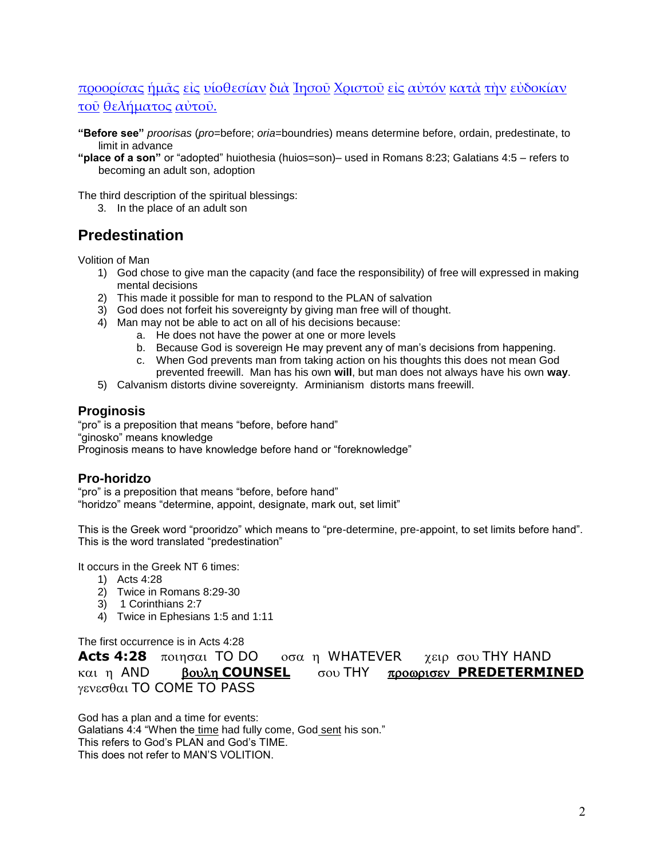### [προορίσας](http://concordance.biblos.com/proorisas.htm) [ἡμᾶς](http://concordance.biblos.com/e_mas.htm) [εἰς](http://concordance.biblos.com/eis.htm) [υἱοθεσίαν](http://concordance.biblos.com/uiothesian.htm) [διὰ](http://concordance.biblos.com/dia.htm) [Ἰησοῦ](http://concordance.biblos.com/ie_sou.htm) [Χριστοῦ](http://concordance.biblos.com/christou.htm) [εἰς](http://concordance.biblos.com/eis.htm) [αὐτόν](http://concordance.biblos.com/auton.htm) [κατὰ](http://concordance.biblos.com/kata.htm) [τὴν](http://concordance.biblos.com/te_n.htm) [εὐδοκίαν](http://concordance.biblos.com/eudokian.htm) [τοῦ](http://concordance.biblos.com/tou.htm) [θελήματος](http://concordance.biblos.com/thele_matos.htm) [αὐτοῦ.](http://concordance.biblos.com/autou.htm)

**"Before see"** *proorisas* (*pro*=before; *oria*=boundries) means determine before, ordain, predestinate, to limit in advance

**"place of a son"** or "adopted" huiothesia (huios=son)– used in Romans 8:23; Galatians 4:5 – refers to becoming an adult son, adoption

The third description of the spiritual blessings:

3. In the place of an adult son

### **Predestination**

Volition of Man

- 1) God chose to give man the capacity (and face the responsibility) of free will expressed in making mental decisions
- 2) This made it possible for man to respond to the PLAN of salvation
- 3) God does not forfeit his sovereignty by giving man free will of thought.
- 4) Man may not be able to act on all of his decisions because:
	- a. He does not have the power at one or more levels
	- b. Because God is sovereign He may prevent any of man's decisions from happening.
	- c. When God prevents man from taking action on his thoughts this does not mean God prevented freewill. Man has his own **will**, but man does not always have his own **way**.
- 5) Calvanism distorts divine sovereignty. Arminianism distorts mans freewill.

#### **Proginosis**

"pro" is a preposition that means "before, before hand" "ginosko" means knowledge Proginosis means to have knowledge before hand or "foreknowledge"

### **Pro-horidzo**

"pro" is a preposition that means "before, before hand" "horidzo" means "determine, appoint, designate, mark out, set limit"

This is the Greek word "prooridzo" which means to "pre-determine, pre-appoint, to set limits before hand". This is the word translated "predestination"

It occurs in the Greek NT 6 times:

- 1) Acts 4:28
- 2) Twice in Romans 8:29-30
- 3) 1 Corinthians 2:7
- 4) Twice in Ephesians 1:5 and 1:11

The first occurrence is in Acts 4:28

**Acts 4:28** TO DO WHATEVER THY HAND Kαι η AND **βουλη COUNSEL** σου THY προωρισεν PREDETERMINED  $γενεσθαι$  TO COME TO PASS

God has a plan and a time for events: Galatians 4:4 "When the time had fully come, God sent his son." This refers to God's PLAN and God's TIME. This does not refer to MAN'S VOLITION.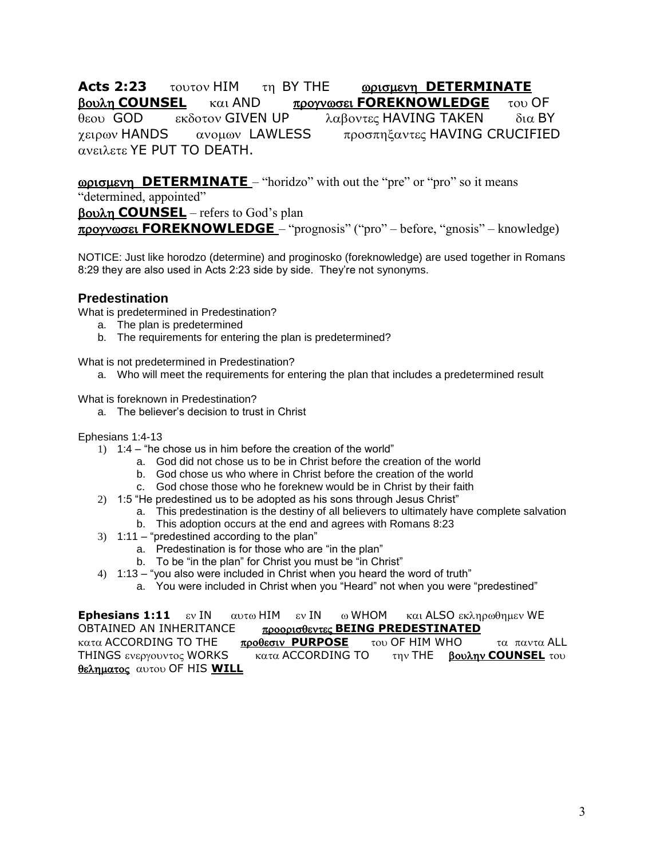**Acts 2:23** τουτον ΗΙΜ τη ΒΥ ΤΗΕ **<u>ωρισμενη DETERMINATE</u> βουλη COUNSEL KQU AND** προγνωσει **FOREKNOWLEDGE** του OF θεου GOD εκδοτον GIVEN UP  $\lambda$ αβοντες HAVING TAKEN δια BY χειρων HANDS ανομων LAWLESS προσπηξαντες HAVING CRUCIFIED  $α$ νειλετε ΥΕ PUT TO DEATH.

**<u>Conguevn</u> DETERMINATE** – "horidzo" with out the "pre" or "pro" so it means

"determined, appointed"

**COUNSEL** – refers to God's plan

**FOREKNOWLEDGE** – "prognosis" ("pro" – before, "gnosis" – knowledge)

NOTICE: Just like horodzo (determine) and proginosko (foreknowledge) are used together in Romans 8:29 they are also used in Acts 2:23 side by side. They're not synonyms.

### **Predestination**

What is predetermined in Predestination?

- a. The plan is predetermined
- b. The requirements for entering the plan is predetermined?

What is not predetermined in Predestination?

a. Who will meet the requirements for entering the plan that includes a predetermined result

What is foreknown in Predestination?

a. The believer's decision to trust in Christ

#### Ephesians 1:4-13

- 1) 1:4 "he chose us in him before the creation of the world"
	- a. God did not chose us to be in Christ before the creation of the world
	- b. God chose us who where in Christ before the creation of the world
	- c. God chose those who he foreknew would be in Christ by their faith
- 2) 1:5 "He predestined us to be adopted as his sons through Jesus Christ"
	- a. This predestination is the destiny of all believers to ultimately have complete salvation
	- b. This adoption occurs at the end and agrees with Romans 8:23
- 3) 1:11 "predestined according to the plan"
	- a. Predestination is for those who are "in the plan"
	- b. To be "in the plan" for Christ you must be "in Christ"
- 4) 1:13 "you also were included in Christ when you heard the word of truth"
	- a. You were included in Christ when you "Heard" not when you were "predestined"

**Ephesians 1:11** εν IN αυτω HIM εν IN ω WHOM και ALSO εκληρωθημεν WE OBTAINED AN INHERITANCE **BEING PREDESTINATED** κατα ACCORDING TO THE **προθεσιν PURPOSE** του OF HIM WHO τα παντα ALL THINGS ενεργουντος WORKS κατα ACCORDING TO την THE **βουλην COUNSEL** του θεληματος αυτου OF HIS **WILL**